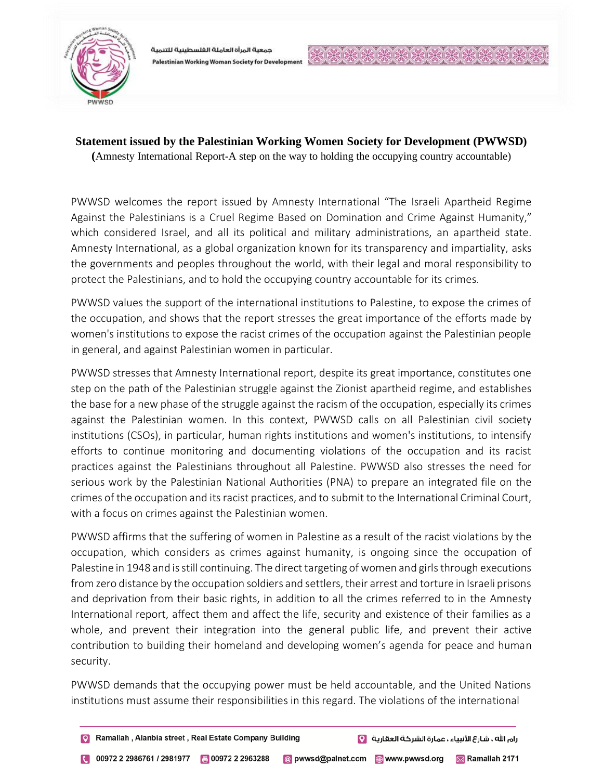

جمعية المرأة العاملة الغلسطينية للتنمية Palestinian Working Woman Society for Development

## **Statement issued by the Palestinian Working Women Society for Development (PWWSD)**

**(**Amnesty International Report-A step on the way to holding the occupying country accountable)

PWWSD welcomes the report issued by Amnesty International "The Israeli Apartheid Regime Against the Palestinians is a Cruel Regime Based on Domination and Crime Against Humanity," which considered Israel, and all its political and military administrations, an apartheid state. Amnesty International, as a global organization known for its transparency and impartiality, asks the governments and peoples throughout the world, with their legal and moral responsibility to protect the Palestinians, and to hold the occupying country accountable for its crimes.

PWWSD values the support of the international institutions to Palestine, to expose the crimes of the occupation, and shows that the report stresses the great importance of the efforts made by women's institutions to expose the racist crimes of the occupation against the Palestinian people in general, and against Palestinian women in particular.

PWWSD stresses that Amnesty International report, despite its great importance, constitutes one step on the path of the Palestinian struggle against the Zionist apartheid regime, and establishes the base for a new phase of the struggle against the racism of the occupation, especially its crimes against the Palestinian women. In this context, PWWSD calls on all Palestinian civil society institutions (CSOs), in particular, human rights institutions and women's institutions, to intensify efforts to continue monitoring and documenting violations of the occupation and its racist practices against the Palestinians throughout all Palestine. PWWSD also stresses the need for serious work by the Palestinian National Authorities (PNA) to prepare an integrated file on the crimes of the occupation and its racist practices, and to submit to the International Criminal Court, with a focus on crimes against the Palestinian women.

PWWSD affirms that the suffering of women in Palestine as a result of the racist violations by the occupation, which considers as crimes against humanity, is ongoing since the occupation of Palestine in 1948 and is still continuing. The direct targeting of women and girls through executions from zero distance by the occupation soldiers and settlers, their arrest and torture in Israeli prisons and deprivation from their basic rights, in addition to all the crimes referred to in the Amnesty International report, affect them and affect the life, security and existence of their families as a whole, and prevent their integration into the general public life, and prevent their active contribution to building their homeland and developing women's agenda for peace and human security.

PWWSD demands that the occupying power must be held accountable, and the United Nations institutions must assume their responsibilities in this regard. The violations of the international